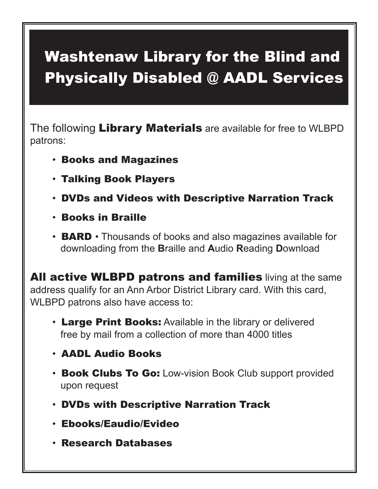## Washtenaw Library for the Blind and Physically Disabled @ AADL Services

The following Library Materials are available for free to WLBPD patrons:

- Books and Magazines
- Talking Book Players
- DVDs and Videos with Descriptive Narration Track
- Books in Braille
- $\cdot$  **BARD**  $\cdot$  Thousands of books and also magazines available for downloading from the **B**raille and **A**udio **R**eading **D**ownload

All active WLBPD patrons and families living at the same address qualify for an Ann Arbor District Library card. With this card, WLBPD patrons also have access to:

- Large Print Books: Available in the library or delivered free by mail from a collection of more than 4000 titles
- AADL Audio Books
- Book Clubs To Go: Low-vision Book Club support provided upon request
- DVDs with Descriptive Narration Track
- Ebooks/Eaudio/Evideo
- Research Databases